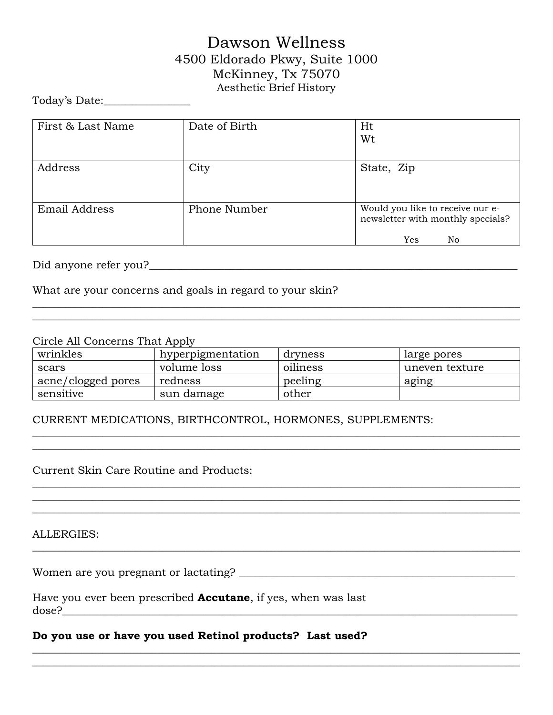# Dawson Wellness 4500 Eldorado Pkwy, Suite 1000 McKinney, Tx 75070 Aesthetic Brief History

Today's Date:\_\_\_\_\_\_\_\_\_\_\_\_\_\_\_\_

| First & Last Name    | Date of Birth | Ht<br>Wt                                                                           |  |
|----------------------|---------------|------------------------------------------------------------------------------------|--|
| Address              | City          | State, Zip                                                                         |  |
| <b>Email Address</b> | Phone Number  | Would you like to receive our e-<br>newsletter with monthly specials?<br>Yes<br>No |  |

Did anyone refer you?

What are your concerns and goals in regard to your skin?

#### Circle All Concerns That Apply

| wrinkles           | hyperpigmentation | dryness  | large pores    |
|--------------------|-------------------|----------|----------------|
| scars              | volume loss       | oiliness | uneven texture |
| acne/clogged pores | redness           | peeling  | aging          |
| sensitive          | sun damage        | other    |                |

 $\_$  , and the set of the set of the set of the set of the set of the set of the set of the set of the set of the set of the set of the set of the set of the set of the set of the set of the set of the set of the set of th

 $\_$  , and the set of the set of the set of the set of the set of the set of the set of the set of the set of the set of the set of the set of the set of the set of the set of the set of the set of the set of the set of th  $\_$  , and the set of the set of the set of the set of the set of the set of the set of the set of the set of the set of the set of the set of the set of the set of the set of the set of the set of the set of the set of th  $\_$  , and the set of the set of the set of the set of the set of the set of the set of the set of the set of the set of the set of the set of the set of the set of the set of the set of the set of the set of the set of th

**\_\_\_\_\_\_\_\_\_\_\_\_\_\_\_\_\_\_\_\_\_\_\_\_\_\_\_\_\_\_\_\_\_\_\_\_\_\_\_\_\_\_\_\_\_\_\_\_\_\_\_\_\_\_\_\_\_\_\_\_\_\_\_\_\_\_\_\_\_\_\_\_\_\_\_\_\_\_\_\_\_\_\_\_\_\_\_\_\_\_ \_\_\_\_\_\_\_\_\_\_\_\_\_\_\_\_\_\_\_\_\_\_\_\_\_\_\_\_\_\_\_\_\_\_\_\_\_\_\_\_\_\_\_\_\_\_\_\_\_\_\_\_\_\_\_\_\_\_\_\_\_\_\_\_\_\_\_\_\_\_\_\_\_\_\_\_\_\_\_\_\_\_\_\_\_\_\_\_\_\_**

 $\_$  , and the set of the set of the set of the set of the set of the set of the set of the set of the set of the set of the set of the set of the set of the set of the set of the set of the set of the set of the set of th \_\_\_\_\_\_\_\_\_\_\_\_\_\_\_\_\_\_\_\_\_\_\_\_\_\_\_\_\_\_\_\_\_\_\_\_\_\_\_\_\_\_\_\_\_\_\_\_\_\_\_\_\_\_\_\_\_\_\_\_\_\_\_\_\_\_\_\_\_\_\_\_\_\_\_\_\_\_\_\_\_\_\_\_\_\_\_\_\_\_

#### CURRENT MEDICATIONS, BIRTHCONTROL, HORMONES, SUPPLEMENTS:

Current Skin Care Routine and Products:

ALLERGIES:

Women are you pregnant or lactating? \_\_\_\_\_\_\_\_\_\_\_\_\_\_\_\_\_\_\_\_\_\_\_\_\_\_\_\_\_\_\_\_\_\_\_\_\_\_\_\_\_\_\_\_\_\_\_\_\_\_\_

| Have you ever been prescribed <b>Accutane</b> , if yes, when was last |  |
|-----------------------------------------------------------------------|--|
| dose?                                                                 |  |

#### **Do you use or have you used Retinol products? Last used?**